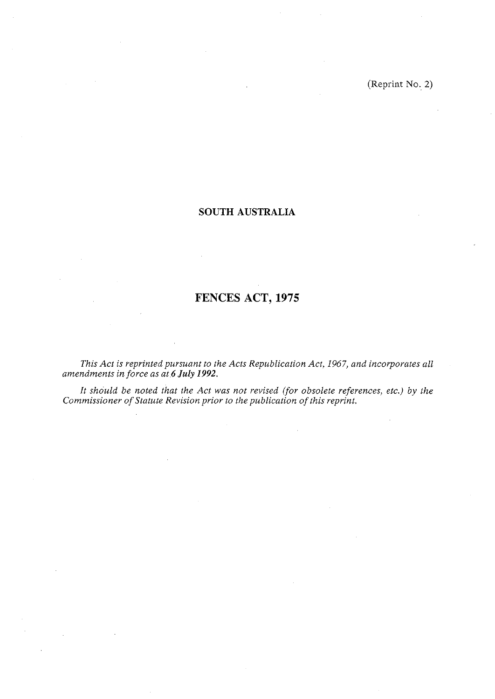(Reprint No. 2)

## **SOUTH AUSTRALIA**

# **FENCES ACT, 1975**

*This Act is reprinted pursuant to the Acts Republication Act, 1967, and incorporates all amendments in force as at6 July 1992.* 

*It should be noted that the Act was not revised (for obsolete references, etc.) by the Commissioner of Statute Revision prior to the publication of this reprint.*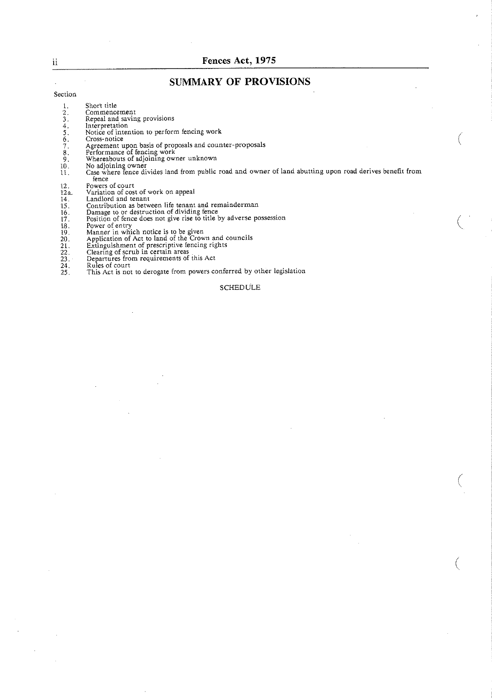## **11 Fences Act, 1975**

## **SUMMARY OF PROVISIONS**

#### Section

- 1. Short title<br>
2. Commence<br>
3. Repeal and<br>
4. Interpretat<br>
5. Notice of i<br>
6. Cross-notic<br>
7. Agreement<br>
8. Performan<br>
9. Whereabou<br>
10. No adjoini
	-
- 2. Commencement<br>3. Repeal and saving provisions<br>4. lnterpretation
- Notice of intention to perform fencing work
- 
- Cross-notice Agreement upon basis of proposals and counter -proposals
- 
- Performance of fencing work Whereabouts of adjoining owner unknown
- 
- No adjoining owner<br>Case where fence divides land from public road and owner of land abutting upon road derives benefit from  $\overline{11}$ . Fence<br>
Powers of court<br>
Variation of cost of work on appeal<br>
Landlord and tenant
- 
- 
- 
- Contribution as between life tenant and remainderman
- 
- 
- 
- 18. Power of entry<br>19. Manner in which notice is to be given<br>20. Application of Act to land of the Crown and council
- 21. Extinguishment of prescriptive fencing right
- 21.<br>22.<br>23.<br>24.
- 22. Clearing of scrub in certain areas<br>23. Departures from requirements of this Act
- 
- **24.** Rii& of court **25.** This Act is not to derogate from powers conferred by other legislation

#### **SCHEDULE**

 $\,$  ii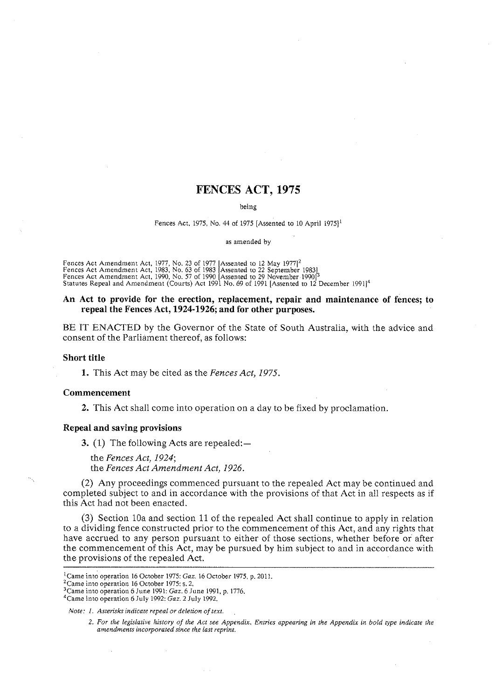## FENCES ACT, **1975**

being

Fences Act, 1975, No. 44 of 1975 [Assented to 10 April 1975]<sup>1</sup>

as amended by

Fences Act Amendment Act, 1977, No. 23 of 1977 [Assented to 12 May 1977]<sup>2</sup><br>Fences Act Amendment Act, 1983, No. 63 of 1983 [Assented to 22 September 1983] Fences Act Amendment Act, 1990, No. 57 of 1990 [Assented to 29 November 1990]<sup>3</sup><br>Statutes Repeal and Amendment (Courts) Act 1991 No. 69 of 1991 [Assented to 12 December 1991]<sup>4</sup>

#### An Act to provide for the erection, replacement, repair and maintenance of fences; to repeal the Fences Act, **1924-1926;** and for other purposes.

BE IT ENACTED by the Governor of the State of South Australia, with the advice and consent of the Parliament thereof, as follows:

#### Short title

**1.** This Act may be cited as the *Fences Act, 1975.* 

#### Commencement

**2.** This Act shall come into operation on a day to be fixed by proclamation.

## Repeal and saving provisions

**3.** (1) The following Acts are repealed:—

the *Fences Act, 1924;*  the *Fences Act Amendment Act, 1926.* 

(2) Any proceedings commenced pursuant to the repealed Act may be continued and completed subject to and in accordance with the provisions of that Act in all respects as if this Act had not been enacted.

(3) Section 10a and section 11 of the repealed Act shall continue to apply in relation to a dividing fence constructed prior to the commencement of this Act, and any rights that have accrued to any person pursuant to either of those sections, whether before or after the commencement of this Act, may be pursued by him subject to and in accordance with the provisions of the repealed Act.

<sup>2</sup> Came into operation 16 October 1975: s. 2.

%ame into operation 6 June 1991: *Gaz.* 6 June 1991, p. 1776.

4Came into operation 6 July 1992: *Gaz.* 2 July 1992.

<sup>&#</sup>x27;came into operation 16 October 1975: *Gaz.* 16 October 1975. p. 2011.

*Note: 1. Asterisks indicate repeal or deletion of text.* 

**<sup>2.</sup>** *For the legislative history of the Act see Appendix. Entries appearing in the Appendix in bold type indicate he amendmenrs incorporated since the last reprint.*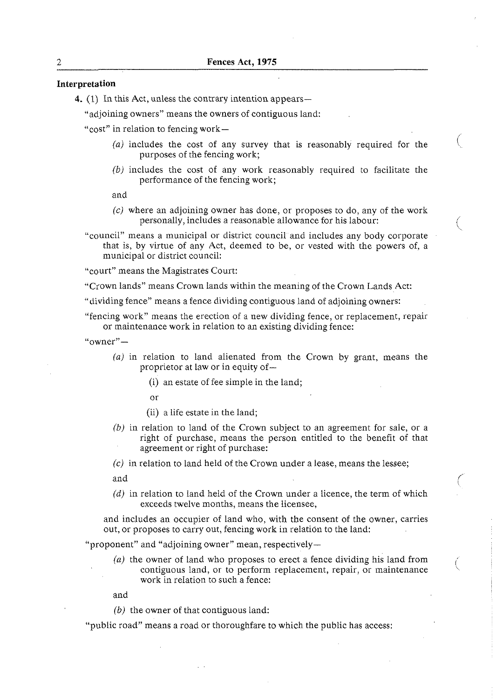## **Interpretation**

4.  $(1)$  In this Act, unless the contrary intention appears—

"adjoining owners" means the owners of contiguous land:

"cost" in relation to fencing work $-$ 

*(a)* includes the cost of any survey that is reasonably required for the purposes of the fencing work;

 $\bigwedge_{\alpha\in\mathbb{N}}$ 

*(b)* includes the cost of any work reasonably required to facilitate the performance of the fencing work;

and

- *(c)* where an adjoining owner has done, or proposes to do, any of the work personally, includes a reasonable allowance for his labour: (
- "council" means a municipal or district council and includes any body corporate that is, by virtue of any Act, deemed to be, or vested with the powers of, a municipal or district council:

"court" means the Magistrates Court:

"Crown lands" means Crown lands within the meaning of the Crown Lands Act:

"dividing fence" means a fence dividing contiguous land of adjoining owners:

"fencing work" means the erection of a new dividing fence, or replacement, repair or maintenance work in relation to an existing dividing fence:

" $\alpha$ wner" —

- *(a)* in relation to land alienated from the Crown by grant, means the proprietor at law or in equity of-
	- (i) an estate of fee simple in the land;
	- or
	- (ii) a life estate in the land;
- *(b)* in relation to land of the Crown subject to an agreement for sale, or a right of purchase, means the person entitled to the benefit of that agreement or right of purchase:
- (c) in relation to land held of the Crown under a lease, means the lessee;
- and  $\left( \begin{array}{cc} \end{array} \right)$
- $(d)$  in relation to land held of the Crown under a licence, the term of which exceeds twelve months, means the licensee,

and includes an occupier of land who, with the consent of the owner, carries out, or proposes to carry out, fencing work in relation to the land:

"proponent" and "adjoining owner" mean, respectively-

 $(a)$  the owner of land who proposes to erect a fence dividing his land from contiguous land, or to perform replacement, repair, or maintenance work in relation to such a fence:

and

*(b)* the owner of that contiguous land:

"public road" means a road or thoroughfare to which the public has access: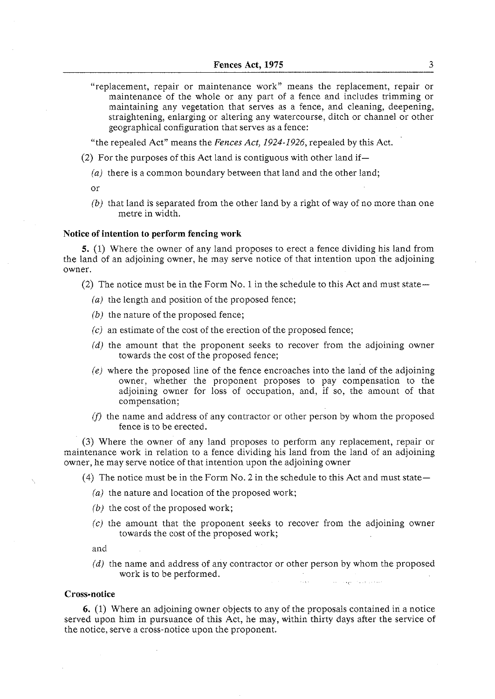"replacement, repair or maintenance work" means the replacement, repair or maintenance of the whole or any part of a fence and includes trimming or maintaining any vegetation that serves as a fence, and cleaning, deepening, straightening, enlarging or altering any watercourse, ditch or channel or other geographical configuration that serves as a fence:

"the repealed Act" means the *Fences Act,* 1924-1926, repealed by this Act.

(2) For the purposes of this Act land is contiguous with other land if-

- *(a)* there is a common boundary between that land and the other land;
- $\alpha$ r
- *(b)* that land is separated from the other land by a right of way of no more than one metre in width.

#### **Notice of intention to perform fencing work**

**5.** (1) Where the owner of any land proposes to erect a fence dividing his land from the land of an adjoining owner, he may serve notice of that intention upon the adjoining owner.

(2) The notice must be in the Form No. 1 in the schedule to this Act and must state-

- (a) the length and position of the proposed fence;
- *(b)* the nature of the proposed fence;
- *(c)* an estimate of the cost of the erection of the proposed fence;
- *(d)* the amount that the proponent seeks to recover from the adjoining owner towards the cost of the proposed fence;
- *(e)* where the proposed line of the fence encroaches into the land of the adjoining owner, whether the proponent proposes to pay compensation to the adjoining owner for loss of occupation, and, if so, the amount of that compensation;
- *jfj* the name and address of any contractor or other person by whom the proposed fence is to be erected.

**(3)** Where the owner of any land proposes to perform any replacement, repair or maintenance work in relation to a fence dividing his land from the land of an adjoining owner, he may serve notice of that intention upon the adjoining owner

(4) The notice must be in the Form No. 2 in the schedule to this Act and must state $-$ 

- *(a)* the nature and location of the proposed work;
- $(b)$  the cost of the proposed work;
- *(c)* the amount that the proponent seeks to recover from the adjoining owner towards the cost of the proposed work;

and

*(d)* the name and address of any contractor or other person by whom the proposed work is to be performed.

and the application of a complete work

#### **Cross-notice**

*6.* (1) Where an adjoining owner objects to any of the proposals contained in a notice served upon him in pursuance of this Act, he may, within thirty days after the service of the notice, serve a cross-notice upon the proponent.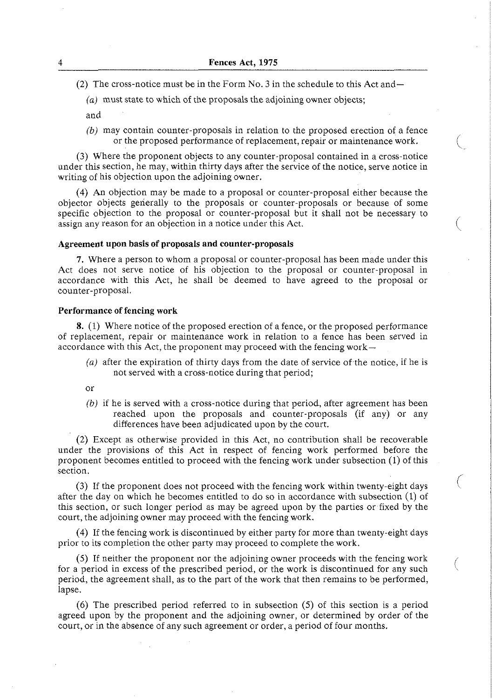(2) The cross-notice must be in the Form No. 3 in the schedule to this Act and  $-$ 

 $(a)$  must state to which of the proposals the adjoining owner objects;

- and
- (b) may contain counter-proposals in relation to the proposed erection of a fence or the proposed performance of replacement, repair or maintenance work.

(3) Where the proponent objects to any counter-proposal contained in a cross-notice under this section, he may, within thirty days after the service of the notice, serve notice in writing of his objection upon the adjoining owner.

(4) An objection may be made to a proposal or counter-proposal either because the objector objects generally to the proposals or counter-proposals or because of some specific objection to the proposal or counter-proposal but it shall not be necessary to assign any reason for an objection in a notice under this Act.

## **Agreement upon basis of proposals and counter-proposals**

**7.** Where a person to whom a proposal or counter-proposal has been made under this Act does not serve notice of his objection to the proposal or counter-proposal in accordance with this Act, he shall be deemed to have agreed to the proposal or counter-proposal.

### **Performance of fencing work**

**8.** (1) Where notice of the proposed erection of a fence, or the proposed performance of replacement, repair or maintenance work in relation to a fence has been served in accordance with this Act, the proponent may proceed with the fencing work-

 $(a)$  after the expiration of thirty days from the date of service of the notice, if he is not served with a cross-notice during that period;

or

(b) if he is served with a cross-notice during that period, after agreement has been reached upon the proposals and counter-proposals (if any) or any differences have been adjudicated upon by the court.

(2) Except as otherwise provided in this Act, no contribution shall be recoverable under the provisions of this Act in respect of fencing work performed before the proponent becomes entitled to proceed with the fencing work under subsection (1) of this section. (3) If the proponent does not proceed with the fencing work within twenty-eight days is

after the day on which he becomes entitled to do so in accordance with subsection (1) of this section, or such longer period as may be agreed upon by the parties or fixed by the court, the adjoining owner may proceed with the fencing work.

(4) If the fencing work is discontinued by either party for more than twenty-eight days prior to its completion the other party may proceed to complete the work.

(5) If neither the proponent nor the adjoining owner proceeds with the fencing work for a period in excess of the prescribed period, or the work is discontinued for any such i period, the agreement shall, as to the part of the work that then remains to be performed, lapse.

(6) The prescribed period referred to in subsection *(5)* of this section is a period agreed upon by the proponent and the adjoining owner, or determined by order of the court, or in the absence of any such agreement or order, a period of four months.

 $\boldsymbol{\Lambda}$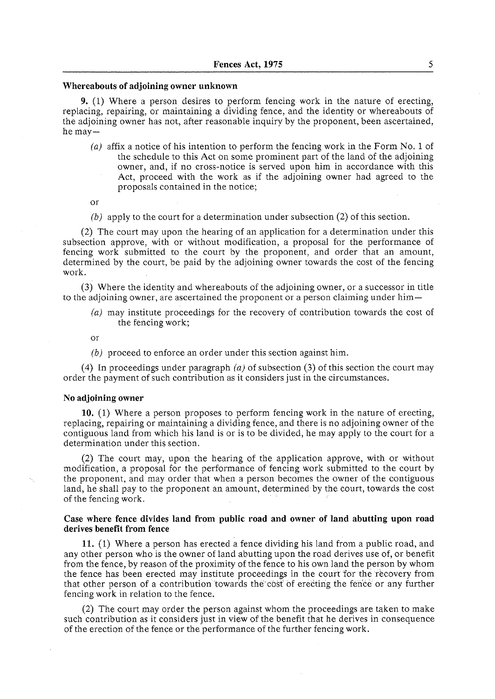#### **Whereabouts of adjoining owner unknown**

**9. (1)** Where a person desires to perform fencing work in the nature of erecting, replacing, repairing, or maintaining a dividing fence, and the identity or whereabouts of the adjoining owner has not, after reasonable inquiry by the proponent, been ascertained, he may—

- (a) affix a notice of his intention to perform the fencing work in the Form No. 1 of the schedule to this Act on some prominent part of the land of the adjoining owner, and, if no cross-notice is served upon him in accordance with this Act, proceed with the work as if the adjoining owner had agreed to the proposals contained in the notice;
- or

## (b) apply to the court for a determination under subsection  $(2)$  of this section.

(2) The court may upon the hearing of an application for a determination under this subsection approve, with or without modification, a proposal for the performance of fencing work submitted to the court by the proponent, and order that an amount, determined by the court, be paid by the adjoining owner towards the cost of the fencing work.

(3) Where the identity and whereabouts of the adjoining owner, or a successor in title to the adjoining owner, are ascertained the proponent or a person claiming under him-

(a) may institute proceedings for the recovery of contribution towards the cost of the fencing work;

or

(b) proceed to enforce an order under this section against him,

(4) In proceedings under paragraph (a) of subsection **(3)** of this section the court may order the payment of such contribution as it considers just in the circumstances.

#### **No adjoining owner**

**10.** (1) Where a person proposes to perform fencing work in the nature of erecting, replacing, repairing or maintaining a dividing fence, and there is no adjoining owner of the contiguous land from which his land is or is to be divided, he may apply to the court for a determination under this section.

(2) The court may, upon the hearing of the application approve, with or without modification, a proposal for the performance of fencing work submitted to the court by the proponent, and may order that when a person becomes the owner of the contiguous land, he shali pay to the proponent an amount, determined by the court, towards the cost of the fencing work.

#### **Case where fence divides land from public road and owner of land abutting upon road derives benefit from fence**

**11.** (1) Where a person has erected **a** fence dividing his land from a public road, and any other person who is the owner of land abutting upon the road derives use of, or benefit from the fence, by reason of the proximity of the fence to his own land the person by whom the fence has been erected may institute proceedings in the court for the recovery from that other person of a contribution towards the cost of erecting the fence or any further fencing work in relation to the fence.

(2) The court may order the person against whom the proceedings are taken to make such contribution as it considers just in view of the benefit that he derives in consequence of the erection of the fence or the performance of the further fencing work.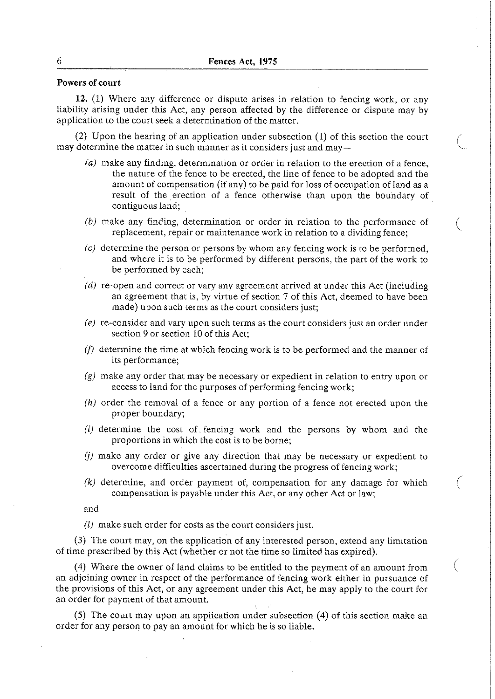## **Powers of court**

**12.** (1) Where any difference or dispute arises in relation to fencing work, or any liability arising under this Act, any person affected by the difference or dispute may by application to the court seek a determination of the matter.

(2) Upon the hearing of an application under subsection (1) of this section the court may determine the matter in such manner as it considers just and may-

- (a) make any finding, determination or order in relation to the erection of a fence, the nature of the fence to be erected, the line of fence to be adopted and the amount of compensation (if any) to be paid for loss of occupation of Land as a result of the erection of a fence otherwise than upon the boundary of contiguous land;
- *(b)* make any finding, determination or order in relation to the performance of replacement, repair or maintenance work in relation to a dividing fence;
- (c) determine the person or persons by whom any fencing work is to be performed, and where it is to be performed by different persons, the part of the work to be performed by each;
- (d) re-open and correct or vary any agreement arrived at under this Act (including an agreement that is, by virtue of section 7 of this Act, deemed to have been made) upon such terms as the court considers just;
- *(e)* re-consider and vary upon such terms as the court considers just an order under section 9 or section 10 of this Act;
- *jf)* determine the time at which fencing work is to be performed and the manner of its performance;
- (g) make any order that may be necessary or expedient in relation to entry upon or access to land for the purposes of performing fencing work;
- *(hi* order the removal of a fence or any portion of a fence not erected upon the proper boundary;
- (i) determine the cost of. fencing work and the persons by whom and the proportions in which the cost is to be borne;
- (jj make any order or give any direction that may be necessary or expedient to overcome difficulties ascertained during the progress of fencing work;
- $(k)$  determine, and order payment of, compensation for any damage for which compensation is payable under this Act, or any other Act or law;

and

(1) make such order for costs as the court considers just.

(3) The court may, on the application of any interested person, extend any limitation of time prescribed by this Act (whether or not the time so limited has expired).

(4) Where the owner of land claims to be entitled to the payment of an amount from an adjoining owner in respect of the performance of fencing work either in pursuance of the provisions of this Act, or any agreement under this Act, he may apply to the court for an order for payment of that amount.

(5) The court may upon an application under subsection (4) of this section make an order for any person to pay an amount for which he is so liable.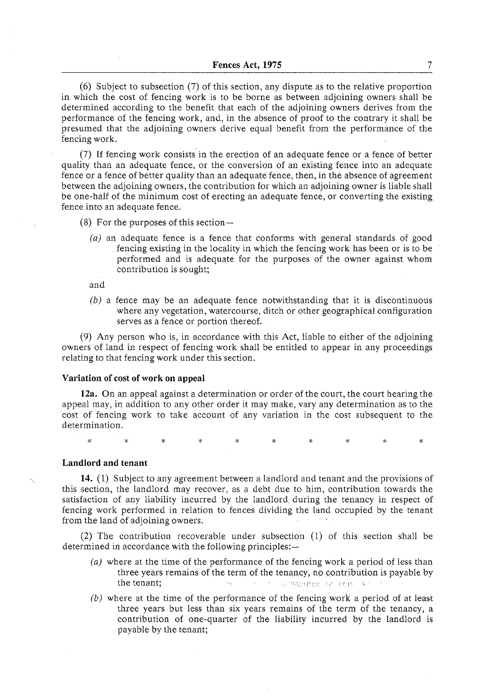(6) Subject to subsection (7) of this section, any dispute as to the relative proportion in which the cost of fencing work is to be borne as between adjoining owners shall be determined according to the benefit that each of the adjoining owners derives from the performance of the fencing work, and, in the absence of proof to the contrary it shall be presumed that the adjoining owners derive equal benefit from the performance of the fencing work.

(7) If fencing work consists in the erection of an adequate fence or a fence of better quality than an adequate fence, or the conversion of an existing fence into an adequate fence or a fence of better quality than an adequate fence, then, in the absence of agreement between the adjoining owners, the contribution for which an adjoining owner is liable shall be one-half of the minimum cost of erecting an adequate fence, or converting the existing fence into an adequate fence.

(8) For the purposes of this section $-$ 

(a) an adequate fence is a fence that conforms with general standards of good fencing existing in the locality in which the fencing work has been or is to be performed and is adequate for the purposes of the owner against whom contribution is sought;

and

*(b)* a fence may be an adequate fence notwithstanding that it is discontinuous where any vegetation, watercourse, ditch or other geographical configuration serves as a fence or portion thereof.

(9) Any person who is, in accordance with this Act, liable to either of the adjoining owners of land in respect of fencing work shall be entitled to appear in any proceedings relating to that fencing work under this section.

#### **Variation of cost of work on appeal**

**12a.** On an appeal against a determination or order of the court, the court hearing the appeal may, in addition to any other order it may make, vary any determination as to the cost of fencing work to take account of any variation in the cost subsequent to the determination.

 $\ddot{\mathbf{v}}$  $\mathbf{r}$ 

### **Landlord and tenant**

**14.** (1) Subject to any agreement between a landlord and tenant and the provisions of this section, the landlord may recover, as a debt due to him, contribution towards the satisfaction of any liability incurred by the landlord during the tenancy in respect of fencing work performed in relation to fences dividing the land occupied by the tenant from the land of adjoining owners.

(2) The contribution recoverable under subsection (1) of this section shall be determined in accordance with the following principles:-

- (a) where at the time of the performance of the fencing work a period of less than three years remains of the term of the tenancy, no contribution is payable by the tenant; . \_:, . . :, , ,: I.
- *(b)* where at the time of the performance of the fencing work a period of at least three years but less than six years remains of the term of the tenancy, a contribution of one-quarter of the liability incurred by the landlord is payable by the tenant;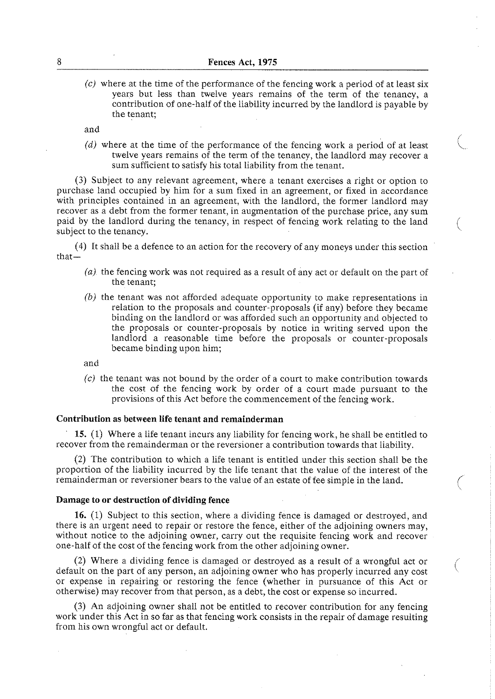$(c)$  where at the time of the performance of the fencing work a period of at least six years but less than twelve years remains of the term of the tenancy, a contribution of one-half of the liability incurred by the landlord is payable by the tenant;

and

( $d$ ) where at the time of the performance of the fencing work a period of at least twelve years remains of the term of the tenancy, the landlord may recover a sum sufficient to satisfy his total liability from the tenant.

(3) Subject to any relevant agreement, where a tenant exercises a right or option to purchase land occupied by him for a sum fixed in an agreement, or fixed in accordance with principles contained in an agreement, with the landlord, the former landlord may recover as a debt from the former tenant, in augmentation of the purchase price, any sum paid by the landlord during the tenancy, in respect of fencing work relating to the land subject to the tenancy.

(4) It shall be a defence to an action for the recovery of any moneys under this section that-

- (a) the fencing work was not required as a result of any act or default on the part of the tenant;
- *(b)* the tenant was not afforded adequate opportunity to make representations in relation to the proposals and counter-proposals (if any) before they became binding on the landlord or was afforded such an opportunity and objected to the proposals or counter-proposals by notice in writing served upon the landlord a reasonable time before the proposals or counter-proposals became binding upon him;

and

 $(c)$  the tenant was not bound by the order of a court to make contribution towards the cost of the fencing work by order of a court made pursuant to the provisions of this Act before the commencement of the fencing work.

## Contribution as between life tenant and remainderman

15. (1) Where a life tenant incurs any liability for fencing work, he shall be entitled to recover from the remainderman or the reversioner a contribution towards that liability.

(2) The contribution to which a life tenant is entitled under this section shall be the proportion of the liability incurred by the life tenant that the value of the interest of the remainderman or reversioner bears to the value of an estate of fee simple in the land.

## Damage to or destruction of dividing fence

**16.** (1) Subject to this section, where a dividing fence is damaged or destroyed, and there is an urgent need to repair or restore the fence, either of the adjoining owners may, without notice to the adjoining owner, carry out the requisite fencing work and recover one-half of the cost of the fencing work from the other adjoining owner.

(2) Where a dividing fence is damaged or destroyed as a result of a wrongful act or default on the part of any person, an adjoining owner who has properly incurred any cost or expense in repairing or restoring the fence (whether in pursuance of this Act or otherwise) may recover from that person, as a debt, the cost or expense so incurred.

(3) An adjoining owner shall not be entitled to recover contribution for any fencing work under this Act in so far as that fencing work consists in the repair of damage resulting from his own wrongful act or default.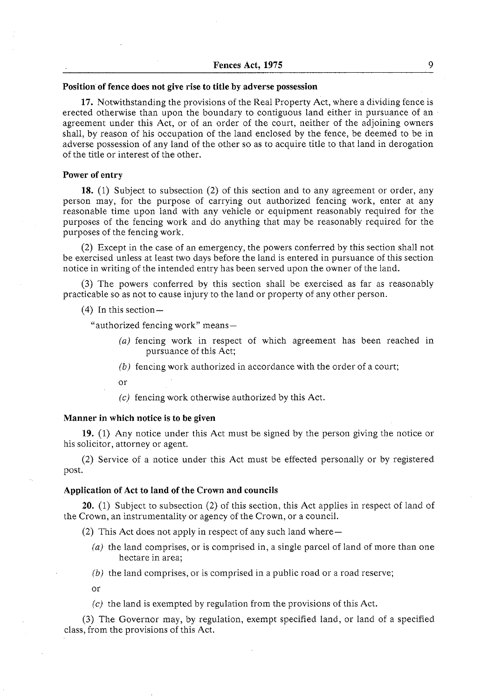## **Position of fence does not give rise to title by adverse possession**

**17.** Notwithstanding the provisions of the Real Property Act, where a dividing fence is erected otherwise than upon the boundary to contiguous land either in pursuance of an agreement under this Act, or of an order of the court, neither of the adjoining owners shall, by reason of his occupation of the land enclosed by the fence, be deemed to be in adverse possession of any land of the other so as to acquire title to that iand in derogation of the title or interest of the other.

#### **Power of entry**

**18.** (1) Subject to subsection (2) of this section and to any agreement or order, any person may, for the purpose of carrying out authorized fencing work, enter at any reasonable time upon land with any vehicle or equipment reasonably required for the purposes of the fencing work and do anything that may be reasonably required for the purposes of the fencing work.

(2) Except in the case of an emergency, the powers conferred by this section shall not be exercised unless at least two days before the land is entered in pursuance of this section notice in writing of the intended entry has been served upon the owner of the land.

(3) The powers conferred by this section shall be exercised as far as reasonably practicable so as not to cause injury to the land or property of any other person.

 $(4)$  In this section -

"authorized fencing work" means-

- (a) fencing work in respect of which agreement has been reached in pursuance of this Act;
- *(b)* fencing work authorized in accordance with the order of a court;
- or
- *(c)* fencing work otherwise authorized by this Act.

#### **Manner in which notice is to be given**

**19.** (1) Any notice under this Act must be signed by the person giving the notice or his solicitor, attorney or agent.

(2) Service of a notice under this Act must be effected personally or by registered post.

#### **Application of Act to land of the Crown and councils**

**20.** (1) Subject to subsection (2) of this section, this Act applies in respect of land of the Crown, an instrumentality or agency of the Crown, or a council.

(2) This Act does not apply in respect of any such land where $-$ 

- (a) the land comprises, or is comprised in, a single parcel of land of more than one hectare in area;
- *(b)* the land comprises, or is comprised in a public road or a road reserve;

or

*(c)* the land is exempted by regulation from the provisions of this Act.

(3) The Governor may, by regulation, exempt specified land, or land of a specified class, from the provisions of this Act.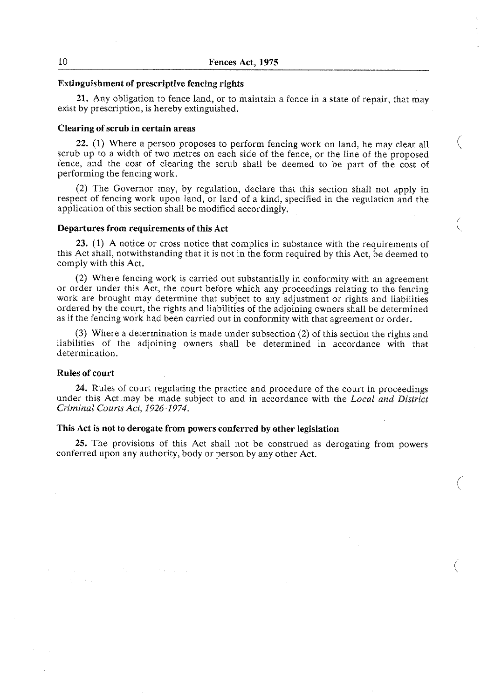#### **Extinguishment of prescriptive fencing rights**

**21.** Any obligation to fence land, or to maintain a fence in a state of repair, that may exist by prescription, is hereby extinguished.

## **Clearing of scrub in certain areas**

**22.** (1) Where a person proposes to perform fencing work on land, he may clear all scrub up to a width of two metres on each side of the fence, or the line of the proposed fence, and the cost of clearing the scrub shall be deemed to be part of the cost of performing the fencing work.

€

(2) The Governor may, by regulation, declare that this section shall not apply in respect of fencing work upon land, or land of a kind, specified in the regulation and the application of this section shall be modified accordingly.

#### **Departures from requirements of this Act** (

**23.** (1) A notice or cross-notice that complies in substance with the requirements of this Act shall, notwithstanding that it is not in the form required by this Act, be deemed to comply with this Act.

(2) Where fencing work is carried out substantially in conformity with an agreement or order under this Act, the court before which any proceedings relating to the fencing work are brought may determine that subject to any adjustment or rights and liabilities ordered by the court, the rights and liabilities of the adjoining owners shall be determined as if the fencing work had been carried out in conformity with that agreement or order.

**(3)** Where a determination is made under subsection (2) of this section the rights and liabilities of the adjoining owners shall be determined in accordance with that determination.

#### **Rules of court**

**24.** Rules of court regulating the practice and procedure of the court in proceedings under this Act may be made subject to and in accordance with the *Local and District Criminal Courts Act, 1926-1974.* 

## **This Act is not to derogate from powers conferred by other legislation**

**25.** The provisions of this Act shall not be construed as derogating from powers conferred upon any authority, body or person by any other Act.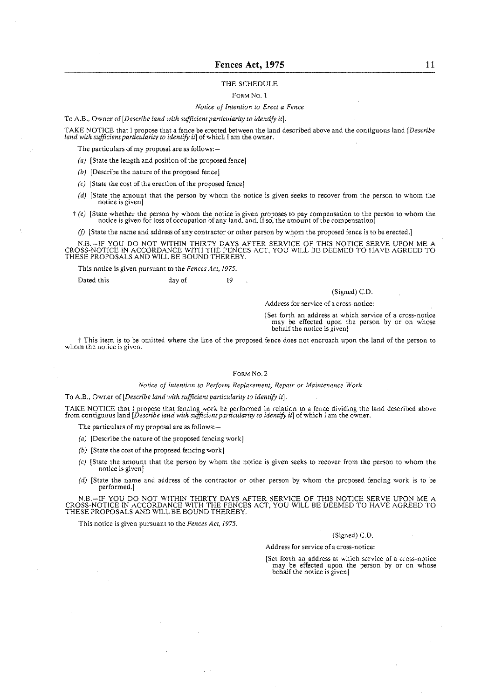#### THE SCHEDULE

#### FORM NO. I

#### Notice of htention to Erect a Fence

To A.B., Owner of [Describe land with sufficient particularity to identify it].

TAKE NOTICE that I propose that a fence be erected between the land described above and the contiguous land [Describe land with sufficient particularity to identify it of which I am the owner.

The particulars of my proposal are as follows: -

- (a) [State the length and position of the proposed fence]
- (b) [Describe the nature of the proposed fence)
- $(c)$  [State the cost of the erection of the proposed fence]
- *(dl* [State the amount that the person by whom the notice is given seeks to recover from the person to whom the notice is given]
- $f(e)$  [State whether the person by whom the notice is given proposes to pay compensation to the person to whom the notice is given for loss of occupation of any land, and, if so, the amount of the compensation]

(f) [State the name and address of any contractor or other person by whom the proposed fence is to be erected.]

N.B.—IF YOU DO NOT WITHIN THIRTY DAYS AFTER SERVICE OF THIS NOTICE SERVE UPON ME A<br>CROSS-NOTICE IN ACCORDANCE WITH THE FENCES ACT, YOU WILL BE DEEMED TO HAVE AGREED TO<br>THESE PROPOSALS AND WILL BE BOUND THEREBY.

This notice is given pursuant to the Fences Act, 1975.

Dated this day of 19

#### (Signed) C.D

Address for service of a cross-notice:

/Set forth an address at which service of a cross-notice may be effected upon the person by or on whose behalf the notice is given)

I This item is to be omitted where the line of the proposed fence does not encroach upon the land oi the person to whom the notice is given.

#### FORM NO. 2

#### Notice of Intention to Perform Replacement, Repair or Maintenance Work

To A.B., Owner of [Describe land with sufficient particularity to identify it].

TAKE NOTICE that I propose that fencing work be performed in relation to a fence dividing the land described above<br>from contiguous land [*Describe land with sufficient particularity to identify it*] of which I am the owner

The particulars of my proposal are as follows: --

- (a) [Describe the nature of the proposed fencing work]
- (b) [State the cost of the proposed fencing work]
- **(c)** [State the amount that the person by whom the notice is given seeks to recover from the person to whom the notice is given)
- (d) [State the name and address of the contractor or other person by whom the proposed iencing work is to be performed.]

N.B.-IF YOU DO NOT WITHIN THIRTY DAYS AFTER SERVICE OF THIS NOTICE SERVE UPON ME A CROSS-NOTICE IN ACCORDANCE WITH THE FENCES ACT. YOU WILL BE DEEMED TO HAVE AGREED TO THESE PROPOSALS AND WlLL BE BOUND THEREBY.

This notice is given pursuant to the Fences Act, 1975.

#### (Signed) C.D.

Address for service of a cross-notice:

[Set forth an address at which service of a cross-notice may be effected upon the person by or on whose behalf the notice is given)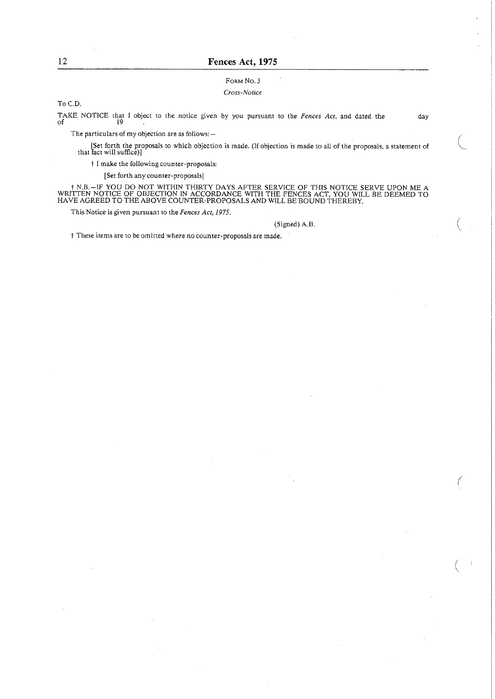#### FORM NO. *3*

#### *Cross-Nonce*

To C.D.

TAKE NOTICE that I object to the notice given by you pursuant to the *Fences Act*, and dated the day of

The particulars of my objection are as follows: -

Set forth the proposals to which objection is made. (If objection is made to ail of the proposals, a statement of that tact will suffice))

t I make the foilowing counter-proposals:

[Set forth any counter-proposalsl

t N.B.—IF YOU DO NOT WITHIN THIRTY DAYS AFTER SERVICE OF THIS NOTICE SERVE UPON ME A WRITTEN NOTICE OF OBJECTION IN ACCORDANCE WITH THE FENCES ACT, YOU WILL BE DEEMED TO HAVE AGREED TO THE ABOVE COUNTER-PROPOSALS AND WILL

This Notice is given pursuant to the *Fences* **Act,** 1975.

#### (Signed) A.B

i These items are to be omitted where no counter-proposals are made.